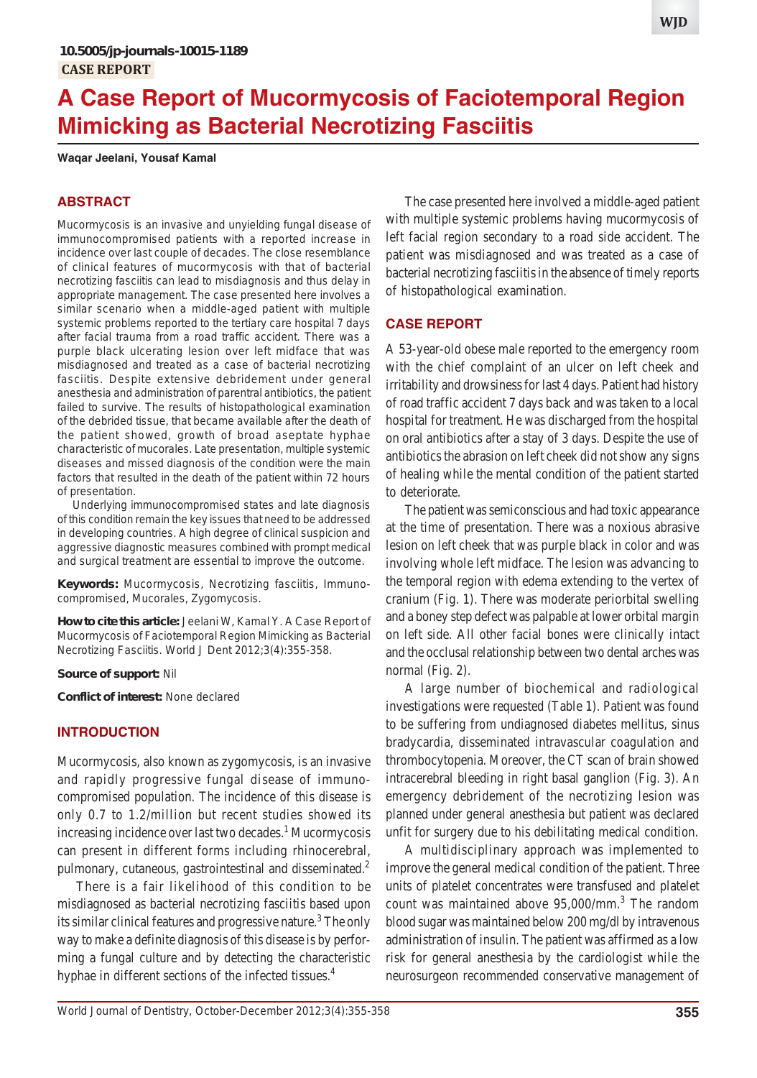# **A Case Report of Mucormycosis of Faciotemporal Region Mimicking as Bacterial Necrotizing Fasciitis**

**Waqar Jeelani, Yousaf Kamal**

#### **ABSTRACT**

Mucormycosis is an invasive and unyielding fungal disease of immunocompromised patients with a reported increase in incidence over last couple of decades. The close resemblance of clinical features of mucormycosis with that of bacterial necrotizing fasciitis can lead to misdiagnosis and thus delay in appropriate management. The case presented here involves a similar scenario when a middle-aged patient with multiple systemic problems reported to the tertiary care hospital 7 days after facial trauma from a road traffic accident. There was a purple black ulcerating lesion over left midface that was misdiagnosed and treated as a case of bacterial necrotizing fasciitis. Despite extensive debridement under general anesthesia and administration of parentral antibiotics, the patient failed to survive. The results of histopathological examination of the debrided tissue, that became available after the death of the patient showed, growth of broad aseptate hyphae characteristic of mucorales. Late presentation, multiple systemic diseases and missed diagnosis of the condition were the main factors that resulted in the death of the patient within 72 hours of presentation.

Underlying immunocompromised states and late diagnosis of this condition remain the key issues that need to be addressed in developing countries. A high degree of clinical suspicion and aggressive diagnostic measures combined with prompt medical and surgical treatment are essential to improve the outcome.

**Keywords:** Mucormycosis, Necrotizing fasciitis, Immunocompromised, Mucorales, Zygomycosis.

**How to cite this article:** Jeelani W, Kamal Y. A Case Report of Mucormycosis of Faciotemporal Region Mimicking as Bacterial Necrotizing Fasciitis. World J Dent 2012;3(4):355-358.

**Source of support:** Nil

**Conflict of interest:** None declared

## **INTRODUCTION**

Mucormycosis, also known as zygomycosis, is an invasive and rapidly progressive fungal disease of immunocompromised population. The incidence of this disease is only 0.7 to 1.2/million but recent studies showed its increasing incidence over last two decades.<sup>1</sup> Mucormycosis can present in different forms including rhinocerebral, pulmonary, cutaneous, gastrointestinal and disseminated.<sup>2</sup>

There is a fair likelihood of this condition to be misdiagnosed as bacterial necrotizing fasciitis based upon its similar clinical features and progressive nature.<sup>3</sup> The only way to make a definite diagnosis of this disease is by performing a fungal culture and by detecting the characteristic hyphae in different sections of the infected tissues.<sup>4</sup>

The case presented here involved a middle-aged patient with multiple systemic problems having mucormycosis of left facial region secondary to a road side accident. The patient was misdiagnosed and was treated as a case of bacterial necrotizing fasciitis in the absence of timely reports of histopathological examination.

#### **CASE REPORT**

A 53-year-old obese male reported to the emergency room with the chief complaint of an ulcer on left cheek and irritability and drowsiness for last 4 days. Patient had history of road traffic accident 7 days back and was taken to a local hospital for treatment. He was discharged from the hospital on oral antibiotics after a stay of 3 days. Despite the use of antibiotics the abrasion on left cheek did not show any signs of healing while the mental condition of the patient started to deteriorate.

The patient was semiconscious and had toxic appearance at the time of presentation. There was a noxious abrasive lesion on left cheek that was purple black in color and was involving whole left midface. The lesion was advancing to the temporal region with edema extending to the vertex of cranium (Fig. 1). There was moderate periorbital swelling and a boney step defect was palpable at lower orbital margin on left side. All other facial bones were clinically intact and the occlusal relationship between two dental arches was normal (Fig. 2).

A large number of biochemical and radiological investigations were requested (Table 1). Patient was found to be suffering from undiagnosed diabetes mellitus, sinus bradycardia, disseminated intravascular coagulation and thrombocytopenia. Moreover, the CT scan of brain showed intracerebral bleeding in right basal ganglion (Fig. 3). An emergency debridement of the necrotizing lesion was planned under general anesthesia but patient was declared unfit for surgery due to his debilitating medical condition.

A multidisciplinary approach was implemented to improve the general medical condition of the patient. Three units of platelet concentrates were transfused and platelet count was maintained above  $95,000/\text{mm}$ .<sup>3</sup> The random blood sugar was maintained below 200 mg/dl by intravenous administration of insulin. The patient was affirmed as a low risk for general anesthesia by the cardiologist while the neurosurgeon recommended conservative management of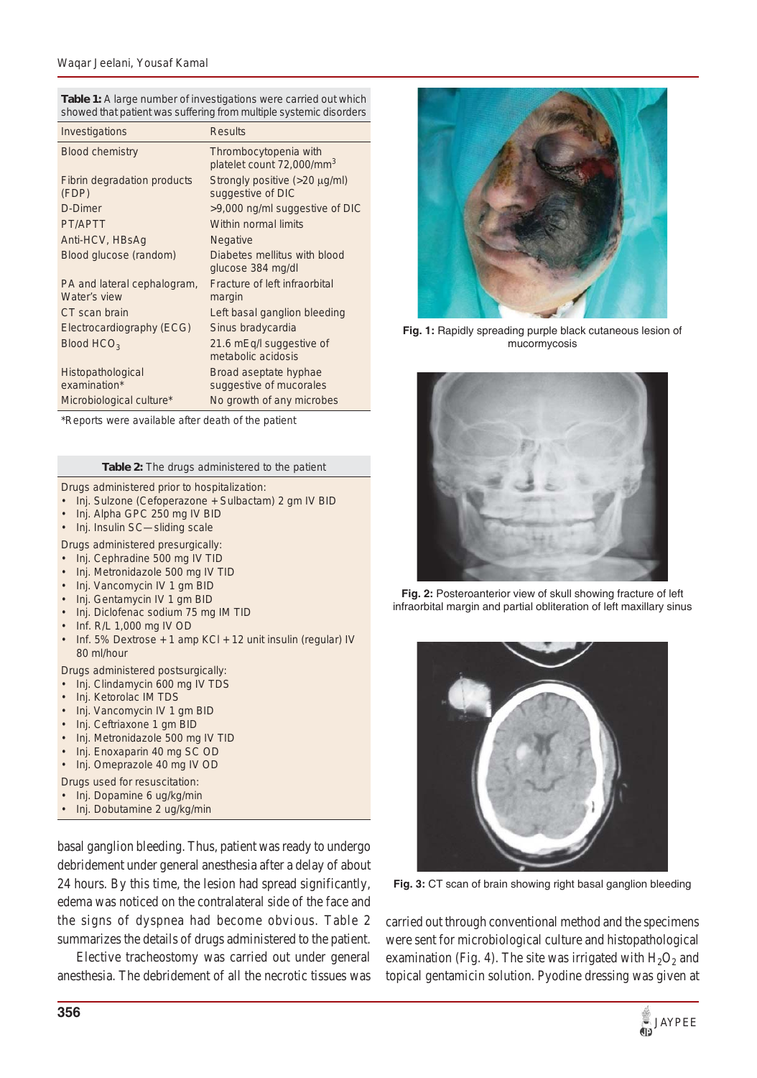| <b>Table 1:</b> A large number of investigations were carried out which |
|-------------------------------------------------------------------------|
| showed that patient was suffering from multiple systemic disorders      |

| Thrombocytopenia with<br><b>Blood chemistry</b><br>platelet count 72,000/mm <sup>3</sup><br>Fibrin degradation products<br>Strongly positive $(>20 \mu g/ml)$<br>suggestive of DIC<br>(FDP)<br>D-Dimer<br>>9,000 ng/ml suggestive of DIC<br>PT/APTT<br>Within normal limits<br>Anti-HCV, HBsAg<br>Negative<br>Blood glucose (random)<br>Diabetes mellitus with blood<br>glucose 384 mg/dl<br>Fracture of left infraorbital<br>PA and lateral cephalogram,<br>Water's view<br>margin<br>CT scan brain<br>Left basal ganglion bleeding<br>Electrocardiography (ECG)<br>Sinus bradycardia<br>21.6 mEq/l suggestive of<br>Blood $HCO3$<br>metabolic acidosis<br>Histopathological<br>Broad aseptate hyphae<br>examination*<br>suggestive of mucorales<br>No growth of any microbes<br>Microbiological culture* | Investigations | <b>Results</b> |
|------------------------------------------------------------------------------------------------------------------------------------------------------------------------------------------------------------------------------------------------------------------------------------------------------------------------------------------------------------------------------------------------------------------------------------------------------------------------------------------------------------------------------------------------------------------------------------------------------------------------------------------------------------------------------------------------------------------------------------------------------------------------------------------------------------|----------------|----------------|
|                                                                                                                                                                                                                                                                                                                                                                                                                                                                                                                                                                                                                                                                                                                                                                                                            |                |                |
|                                                                                                                                                                                                                                                                                                                                                                                                                                                                                                                                                                                                                                                                                                                                                                                                            |                |                |
|                                                                                                                                                                                                                                                                                                                                                                                                                                                                                                                                                                                                                                                                                                                                                                                                            |                |                |
|                                                                                                                                                                                                                                                                                                                                                                                                                                                                                                                                                                                                                                                                                                                                                                                                            |                |                |
|                                                                                                                                                                                                                                                                                                                                                                                                                                                                                                                                                                                                                                                                                                                                                                                                            |                |                |
|                                                                                                                                                                                                                                                                                                                                                                                                                                                                                                                                                                                                                                                                                                                                                                                                            |                |                |
|                                                                                                                                                                                                                                                                                                                                                                                                                                                                                                                                                                                                                                                                                                                                                                                                            |                |                |
|                                                                                                                                                                                                                                                                                                                                                                                                                                                                                                                                                                                                                                                                                                                                                                                                            |                |                |
|                                                                                                                                                                                                                                                                                                                                                                                                                                                                                                                                                                                                                                                                                                                                                                                                            |                |                |
|                                                                                                                                                                                                                                                                                                                                                                                                                                                                                                                                                                                                                                                                                                                                                                                                            |                |                |
|                                                                                                                                                                                                                                                                                                                                                                                                                                                                                                                                                                                                                                                                                                                                                                                                            |                |                |
|                                                                                                                                                                                                                                                                                                                                                                                                                                                                                                                                                                                                                                                                                                                                                                                                            |                |                |
|                                                                                                                                                                                                                                                                                                                                                                                                                                                                                                                                                                                                                                                                                                                                                                                                            |                |                |

\*Reports were available after death of the patient

#### **Table 2:** The drugs administered to the patient

#### *Drugs administered prior to hospitalization:*

- Inj. Sulzone (Cefoperazone + Sulbactam) 2 gm IV BID
- Inj. Alpha GPC 250 mg IV BID
- Inj. Insulin SC—sliding scale

*Drugs administered presurgically:*

- Inj. Cephradine 500 mg IV TID
- Inj. Metronidazole 500 mg IV TID
- Inj. Vancomycin IV 1 gm BID
- Inj. Gentamycin IV 1 gm BID
- Inj. Diclofenac sodium 75 mg IM TID
- Inf. R/L 1,000 mg IV OD
- Inf. 5% Dextrose + 1 amp KCl + 12 unit insulin (regular) IV 80 ml/hour
- *Drugs administered postsurgically:*
- Inj. Clindamycin 600 mg IV TDS
- Inj. Ketorolac IM TDS
- Inj. Vancomycin IV 1 gm BID
- Inj. Ceftriaxone 1 gm BID
- Inj. Metronidazole 500 mg IV TID
- Inj. Enoxaparin 40 mg SC OD
- Inj. Omeprazole 40 mg IV OD
- *Drugs used for resuscitation:*
- Inj. Dopamine 6 ug/kg/min
- Inj. Dobutamine 2 ug/kg/min

basal ganglion bleeding. Thus, patient was ready to undergo debridement under general anesthesia after a delay of about 24 hours. By this time, the lesion had spread significantly, edema was noticed on the contralateral side of the face and the signs of dyspnea had become obvious. Table 2 summarizes the details of drugs administered to the patient.

Elective tracheostomy was carried out under general anesthesia. The debridement of all the necrotic tissues was



**Fig. 1:** Rapidly spreading purple black cutaneous lesion of mucormycosis



**Fig. 2:** Posteroanterior view of skull showing fracture of left infraorbital margin and partial obliteration of left maxillary sinus



**Fig. 3:** CT scan of brain showing right basal ganglion bleeding

carried out through conventional method and the specimens were sent for microbiological culture and histopathological examination (Fig. 4). The site was irrigated with  $H_2O_2$  and topical gentamicin solution. Pyodine dressing was given at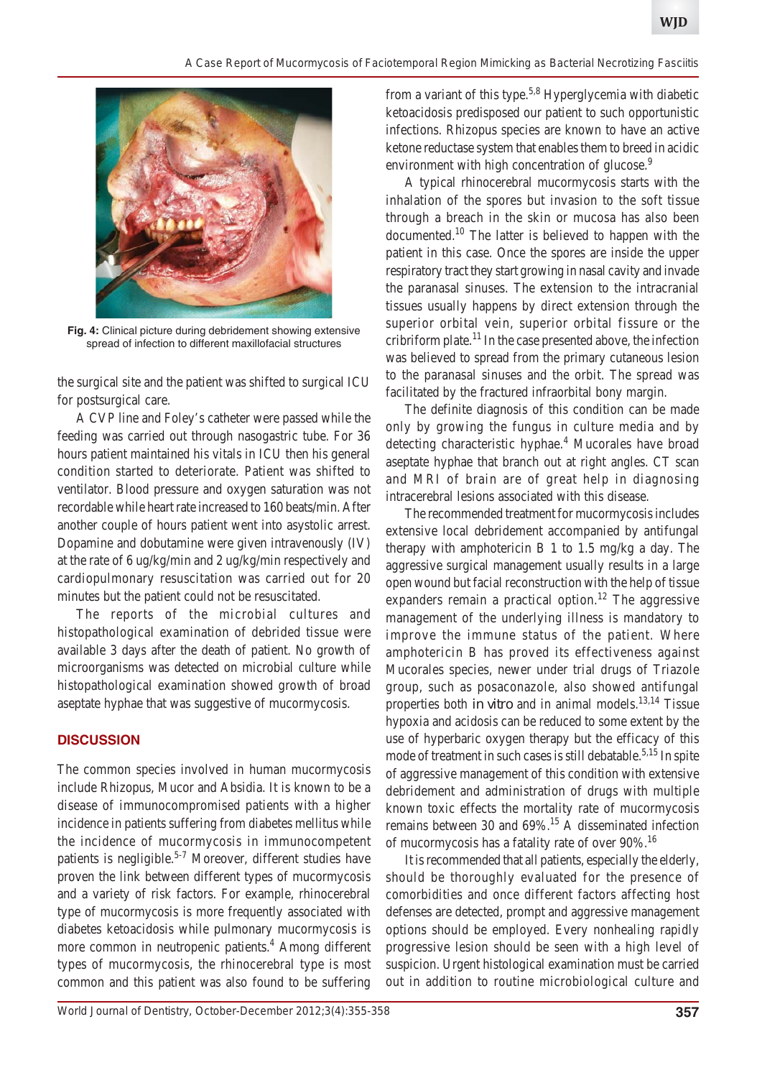

**Fig. 4:** Clinical picture during debridement showing extensive spread of infection to different maxillofacial structures

the surgical site and the patient was shifted to surgical ICU for postsurgical care.

A CVP line and Foley's catheter were passed while the feeding was carried out through nasogastric tube. For 36 hours patient maintained his vitals in ICU then his general condition started to deteriorate. Patient was shifted to ventilator. Blood pressure and oxygen saturation was not recordable while heart rate increased to 160 beats/min. After another couple of hours patient went into asystolic arrest. Dopamine and dobutamine were given intravenously (IV) at the rate of 6 ug/kg/min and 2 ug/kg/min respectively and cardiopulmonary resuscitation was carried out for 20 minutes but the patient could not be resuscitated.

The reports of the microbial cultures and histopathological examination of debrided tissue were available 3 days after the death of patient. No growth of microorganisms was detected on microbial culture while histopathological examination showed growth of broad aseptate hyphae that was suggestive of mucormycosis.

#### **DISCUSSION**

The common species involved in human mucormycosis include Rhizopus, Mucor and Absidia. It is known to be a disease of immunocompromised patients with a higher incidence in patients suffering from diabetes mellitus while the incidence of mucormycosis in immunocompetent patients is negligible.<sup>5-7</sup> Moreover, different studies have proven the link between different types of mucormycosis and a variety of risk factors. For example, rhinocerebral type of mucormycosis is more frequently associated with diabetes ketoacidosis while pulmonary mucormycosis is more common in neutropenic patients.<sup>4</sup> Among different types of mucormycosis, the rhinocerebral type is most common and this patient was also found to be suffering

from a variant of this type.<sup>5,8</sup> Hyperglycemia with diabetic ketoacidosis predisposed our patient to such opportunistic infections. Rhizopus species are known to have an active ketone reductase system that enables them to breed in acidic environment with high concentration of glucose.<sup>9</sup>

A typical rhinocerebral mucormycosis starts with the inhalation of the spores but invasion to the soft tissue through a breach in the skin or mucosa has also been documented.10 The latter is believed to happen with the patient in this case. Once the spores are inside the upper respiratory tract they start growing in nasal cavity and invade the paranasal sinuses. The extension to the intracranial tissues usually happens by direct extension through the superior orbital vein, superior orbital fissure or the cribriform plate.<sup>11</sup> In the case presented above, the infection was believed to spread from the primary cutaneous lesion to the paranasal sinuses and the orbit. The spread was facilitated by the fractured infraorbital bony margin.

The definite diagnosis of this condition can be made only by growing the fungus in culture media and by detecting characteristic hyphae.<sup>4</sup> Mucorales have broad aseptate hyphae that branch out at right angles. CT scan and MRI of brain are of great help in diagnosing intracerebral lesions associated with this disease.

The recommended treatment for mucormycosis includes extensive local debridement accompanied by antifungal therapy with amphotericin B 1 to 1.5 mg/kg a day. The aggressive surgical management usually results in a large open wound but facial reconstruction with the help of tissue expanders remain a practical option.<sup>12</sup> The aggressive management of the underlying illness is mandatory to improve the immune status of the patient. Where amphotericin B has proved its effectiveness against Mucorales species, newer under trial drugs of Triazole group, such as posaconazole, also showed antifungal properties both *in vitro* and in animal models.<sup>13,14</sup> Tissue hypoxia and acidosis can be reduced to some extent by the use of hyperbaric oxygen therapy but the efficacy of this mode of treatment in such cases is still debatable.<sup>5,15</sup> In spite of aggressive management of this condition with extensive debridement and administration of drugs with multiple known toxic effects the mortality rate of mucormycosis remains between 30 and 69%.<sup>15</sup> A disseminated infection of mucormycosis has a fatality rate of over 90%.<sup>16</sup>

It is recommended that all patients, especially the elderly, should be thoroughly evaluated for the presence of comorbidities and once different factors affecting host defenses are detected, prompt and aggressive management options should be employed. Every nonhealing rapidly progressive lesion should be seen with a high level of suspicion. Urgent histological examination must be carried out in addition to routine microbiological culture and